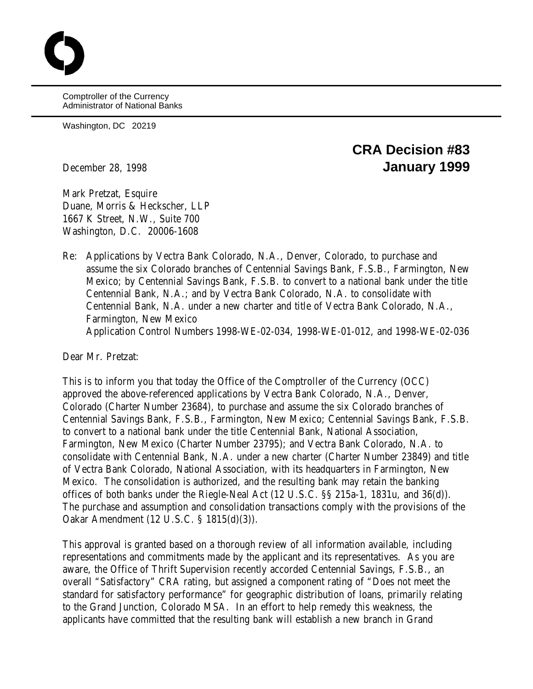Comptroller of the Currency Administrator of National Banks

Washington, DC 20219

## **CRA Decision #83** December 28, 1998 **January 1999**

Mark Pretzat, Esquire Duane, Morris & Heckscher, LLP 1667 K Street, N.W., Suite 700 Washington, D.C. 20006-1608

Re: Applications by Vectra Bank Colorado, N.A., Denver, Colorado, to purchase and assume the six Colorado branches of Centennial Savings Bank, F.S.B., Farmington, New Mexico; by Centennial Savings Bank, F.S.B. to convert to a national bank under the title Centennial Bank, N.A.; and by Vectra Bank Colorado, N.A. to consolidate with Centennial Bank, N.A. under a new charter and title of Vectra Bank Colorado, N.A., Farmington, New Mexico Application Control Numbers 1998-WE-02-034, 1998-WE-01-012, and 1998-WE-02-036

Dear Mr. Pretzat:

This is to inform you that today the Office of the Comptroller of the Currency (OCC) approved the above-referenced applications by Vectra Bank Colorado, N.A., Denver, Colorado (Charter Number 23684), to purchase and assume the six Colorado branches of Centennial Savings Bank, F.S.B., Farmington, New Mexico; Centennial Savings Bank, F.S.B. to convert to a national bank under the title Centennial Bank, National Association, Farmington, New Mexico (Charter Number 23795); and Vectra Bank Colorado, N.A. to consolidate with Centennial Bank, N.A. under a new charter (Charter Number 23849) and title of Vectra Bank Colorado, National Association, with its headquarters in Farmington, New Mexico. The consolidation is authorized, and the resulting bank may retain the banking offices of both banks under the Riegle-Neal Act (12 U.S.C. §§ 215a-1, 1831u, and 36(d)). The purchase and assumption and consolidation transactions comply with the provisions of the Oakar Amendment (12 U.S.C. § 1815(d)(3)).

This approval is granted based on a thorough review of all information available, including representations and commitments made by the applicant and its representatives. As you are aware, the Office of Thrift Supervision recently accorded Centennial Savings, F.S.B., an overall "Satisfactory" CRA rating, but assigned a component rating of "Does not meet the standard for satisfactory performance" for geographic distribution of loans, primarily relating to the Grand Junction, Colorado MSA. In an effort to help remedy this weakness, the applicants have committed that the resulting bank will establish a new branch in Grand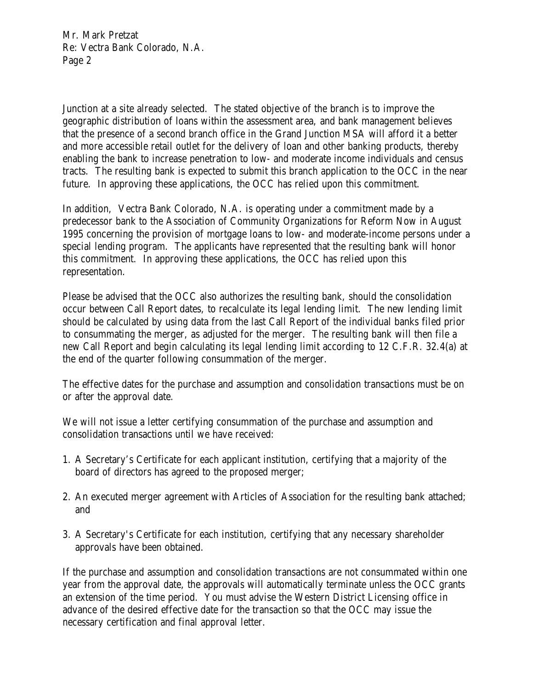Mr. Mark Pretzat Re: Vectra Bank Colorado, N.A. Page 2

Junction at a site already selected. The stated objective of the branch is to improve the geographic distribution of loans within the assessment area, and bank management believes that the presence of a second branch office in the Grand Junction MSA will afford it a better and more accessible retail outlet for the delivery of loan and other banking products, thereby enabling the bank to increase penetration to low- and moderate income individuals and census tracts. The resulting bank is expected to submit this branch application to the OCC in the near future. In approving these applications, the OCC has relied upon this commitment.

In addition, Vectra Bank Colorado, N.A. is operating under a commitment made by a predecessor bank to the Association of Community Organizations for Reform Now in August 1995 concerning the provision of mortgage loans to low- and moderate-income persons under a special lending program. The applicants have represented that the resulting bank will honor this commitment. In approving these applications, the OCC has relied upon this representation.

Please be advised that the OCC also authorizes the resulting bank, should the consolidation occur between Call Report dates, to recalculate its legal lending limit. The new lending limit should be calculated by using data from the last Call Report of the individual banks filed prior to consummating the merger, as adjusted for the merger. The resulting bank will then file a new Call Report and begin calculating its legal lending limit according to 12 C.F.R. 32.4(a) at the end of the quarter following consummation of the merger.

The effective dates for the purchase and assumption and consolidation transactions must be on or after the approval date.

We will not issue a letter certifying consummation of the purchase and assumption and consolidation transactions until we have received:

- 1. A Secretary's Certificate for each applicant institution, certifying that a majority of the board of directors has agreed to the proposed merger;
- 2. An executed merger agreement with Articles of Association for the resulting bank attached; and
- 3. A Secretary's Certificate for each institution, certifying that any necessary shareholder approvals have been obtained.

If the purchase and assumption and consolidation transactions are not consummated within one year from the approval date, the approvals will automatically terminate unless the OCC grants an extension of the time period. You must advise the Western District Licensing office in advance of the desired effective date for the transaction so that the OCC may issue the necessary certification and final approval letter.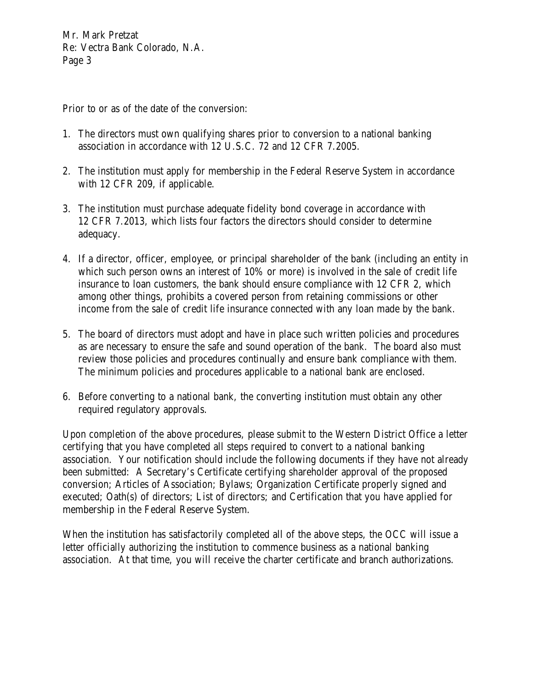Mr. Mark Pretzat Re: Vectra Bank Colorado, N.A. Page 3

Prior to or as of the date of the conversion:

- 1. The directors must own qualifying shares prior to conversion to a national banking association in accordance with 12 U.S.C. 72 and 12 CFR 7.2005.
- 2. The institution must apply for membership in the Federal Reserve System in accordance with 12 CFR 209, if applicable.
- 3. The institution must purchase adequate fidelity bond coverage in accordance with 12 CFR 7.2013, which lists four factors the directors should consider to determine adequacy.
- 4. If a director, officer, employee, or principal shareholder of the bank (including an entity in which such person owns an interest of 10% or more) is involved in the sale of credit life insurance to loan customers, the bank should ensure compliance with 12 CFR 2, which among other things, prohibits a covered person from retaining commissions or other income from the sale of credit life insurance connected with any loan made by the bank.
- 5. The board of directors must adopt and have in place such written policies and procedures as are necessary to ensure the safe and sound operation of the bank. The board also must review those policies and procedures continually and ensure bank compliance with them. The minimum policies and procedures applicable to a national bank are enclosed.
- 6. Before converting to a national bank, the converting institution must obtain any other required regulatory approvals.

Upon completion of the above procedures, please submit to the Western District Office a letter certifying that you have completed all steps required to convert to a national banking association. Your notification should include the following documents if they have not already been submitted: A Secretary's Certificate certifying shareholder approval of the proposed conversion; Articles of Association; Bylaws; Organization Certificate properly signed and executed; Oath(s) of directors; List of directors; and Certification that you have applied for membership in the Federal Reserve System.

When the institution has satisfactorily completed all of the above steps, the OCC will issue a letter officially authorizing the institution to commence business as a national banking association. At that time, you will receive the charter certificate and branch authorizations.